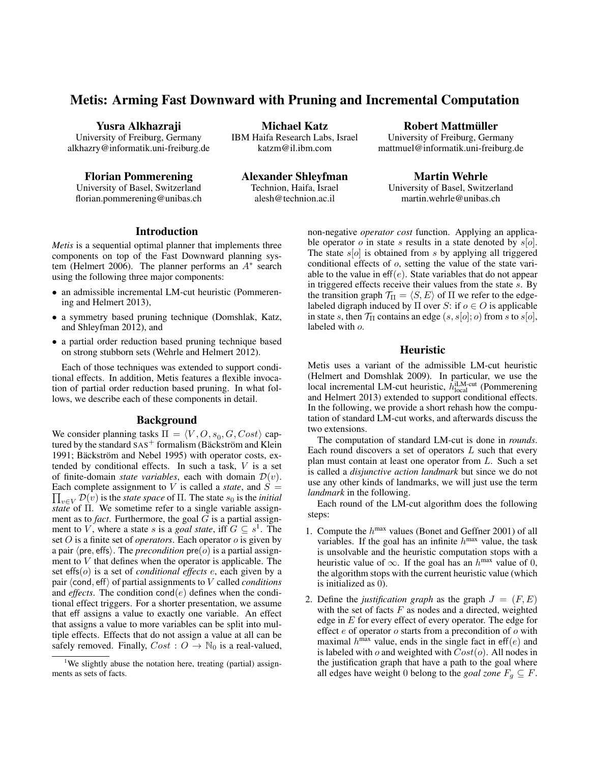# Metis: Arming Fast Downward with Pruning and Incremental Computation

Yusra Alkhazraji

University of Freiburg, Germany alkhazry@informatik.uni-freiburg.de

Florian Pommerening University of Basel, Switzerland florian.pommerening@unibas.ch

Michael Katz IBM Haifa Research Labs, Israel katzm@il.ibm.com

Alexander Shleyfman Technion, Haifa, Israel alesh@technion.ac.il

Robert Mattmuller ¨ University of Freiburg, Germany

mattmuel@informatik.uni-freiburg.de

Martin Wehrle University of Basel, Switzerland martin.wehrle@unibas.ch

## Introduction

*Metis* is a sequential optimal planner that implements three components on top of the Fast Downward planning system (Helmert 2006). The planner performs an  $A^*$  search using the following three major components:

- an admissible incremental LM-cut heuristic (Pommerening and Helmert 2013),
- a symmetry based pruning technique (Domshlak, Katz, and Shleyfman 2012), and
- a partial order reduction based pruning technique based on strong stubborn sets (Wehrle and Helmert 2012).

Each of those techniques was extended to support conditional effects. In addition, Metis features a flexible invocation of partial order reduction based pruning. In what follows, we describe each of these components in detail.

#### Background

We consider planning tasks  $\Pi = \langle V, O, s_0, G, Cost \rangle$  captured by the standard  $SAS^+$  formalism (Bäckström and Klein 1991; Bäckström and Nebel 1995) with operator costs, extended by conditional effects. In such a task,  $V$  is a set of finite-domain *state variables*, each with domain  $\mathcal{D}(v)$ . Each complete assignment to V is called a *state*, and  $S =$  $\prod_{v \in V} \mathcal{D}(v)$  is the *state space* of  $\Pi$ . The state  $s_0$  is the *initial state* of Π. We sometime refer to a single variable assignment as to *fact*. Furthermore, the goal  $G$  is a partial assignment to V, where a state s is a *goal state*, iff  $G \subseteq s^1$ . The set O is a finite set of *operators*. Each operator o is given by a pair  $\langle$  pre, effs $\rangle$ . The *precondition* pre $(o)$  is a partial assignment to  $V$  that defines when the operator is applicable. The set effs(o) is a set of *conditional effects* e, each given by a pair  $\langle$  cond, eff $\rangle$  of partial assignments to V called *conditions* and *effects*. The condition  $cond(e)$  defines when the conditional effect triggers. For a shorter presentation, we assume that eff assigns a value to exactly one variable. An effect that assigns a value to more variables can be split into multiple effects. Effects that do not assign a value at all can be safely removed. Finally,  $Cost: O \rightarrow \mathbb{N}_0$  is a real-valued,

non-negative *operator cost* function. Applying an applicable operator  $o$  in state  $s$  results in a state denoted by  $s[o]$ . The state  $s[*o*]$  is obtained from  $s$  by applying all triggered conditional effects of o, setting the value of the state variable to the value in  $eff(e)$ . State variables that do not appear in triggered effects receive their values from the state s. By the transition graph  $\mathcal{T}_{\Pi} = \langle S, E \rangle$  of  $\Pi$  we refer to the edgelabeled digraph induced by  $\Pi$  over S: if  $o \in O$  is applicable in state s, then  $\mathcal{T}_{\Pi}$  contains an edge  $(s, s[o]; o)$  from s to  $s[o]$ , labeled with o.

## Heuristic

Metis uses a variant of the admissible LM-cut heuristic (Helmert and Domshlak 2009). In particular, we use the local incremental LM-cut heuristic,  $h_{local}^{iLM-cut}$  (Pommerening and Helmert 2013) extended to support conditional effects. In the following, we provide a short rehash how the computation of standard LM-cut works, and afterwards discuss the two extensions.

The computation of standard LM-cut is done in *rounds*. Each round discovers a set of operators  $L$  such that every plan must contain at least one operator from L. Such a set is called a *disjunctive action landmark* but since we do not use any other kinds of landmarks, we will just use the term *landmark* in the following.

Each round of the LM-cut algorithm does the following steps:

- 1. Compute the  $h^{max}$  values (Bonet and Geffner 2001) of all variables. If the goal has an infinite  $h^{\text{max}}$  value, the task is unsolvable and the heuristic computation stops with a heuristic value of  $\infty$ . If the goal has an  $h^{\text{max}}$  value of 0, the algorithm stops with the current heuristic value (which is initialized as 0).
- 2. Define the *justification graph* as the graph  $J = (F, E)$ with the set of facts  $F$  as nodes and a directed, weighted edge in  $E$  for every effect of every operator. The edge for effect  $e$  of operator  $o$  starts from a precondition of  $o$  with maximal  $h^{\text{max}}$  value, ends in the single fact in eff(e) and is labeled with  $o$  and weighted with  $Cost(o)$ . All nodes in the justification graph that have a path to the goal where all edges have weight 0 belong to the *goal zone*  $F_q \subseteq F$ .

<sup>&</sup>lt;sup>1</sup>We slightly abuse the notation here, treating (partial) assignments as sets of facts.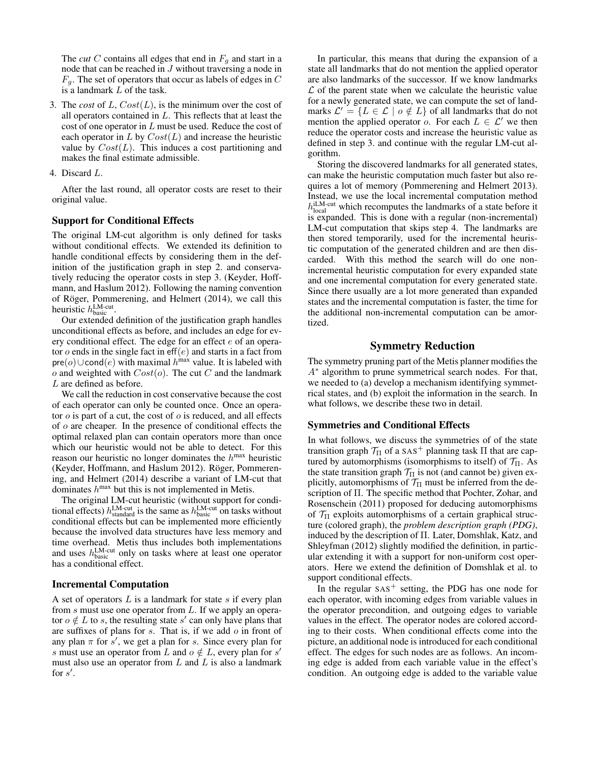The *cut* C contains all edges that end in  $F_q$  and start in a node that can be reached in J without traversing a node in  $F_q$ . The set of operators that occur as labels of edges in C is a landmark L of the task.

- 3. The *cost* of  $L$ ,  $Cost(L)$ , is the minimum over the cost of all operators contained in L. This reflects that at least the cost of one operator in L must be used. Reduce the cost of each operator in  $L$  by  $Cost(L)$  and increase the heuristic value by  $Cost(L)$ . This induces a cost partitioning and makes the final estimate admissible.
- 4. Discard L.

After the last round, all operator costs are reset to their original value.

#### Support for Conditional Effects

The original LM-cut algorithm is only defined for tasks without conditional effects. We extended its definition to handle conditional effects by considering them in the definition of the justification graph in step 2. and conservatively reducing the operator costs in step 3. (Keyder, Hoffmann, and Haslum 2012). Following the naming convention of Röger, Pommerening, and Helmert (2014), we call this heuristic  $h_{\text{basic}}^{\text{LM-cut}}$ .

Our extended definition of the justification graph handles unconditional effects as before, and includes an edge for every conditional effect. The edge for an effect e of an operator  $o$  ends in the single fact in eff $(e)$  and starts in a fact from  $pre(o) \cup cond(e)$  with maximal  $h^{\text{max}}$  value. It is labeled with o and weighted with  $Cost(o)$ . The cut C and the landmark L are defined as before.

We call the reduction in cost conservative because the cost of each operator can only be counted once. Once an operator  $o$  is part of a cut, the cost of  $o$  is reduced, and all effects of o are cheaper. In the presence of conditional effects the optimal relaxed plan can contain operators more than once which our heuristic would not be able to detect. For this reason our heuristic no longer dominates the  $h^{\text{max}}$  heuristic (Keyder, Hoffmann, and Haslum 2012). Röger, Pommerening, and Helmert (2014) describe a variant of LM-cut that dominates  $h^{\text{max}}$  but this is not implemented in Metis.

The original LM-cut heuristic (without support for conditional effects)  $h_{\text{standard}}^{\text{LM-cut}}$  is the same as  $h_{\text{basic}}^{\text{LM-cut}}$  on tasks without conditional effects but can be implemented more efficiently because the involved data structures have less memory and time overhead. Metis thus includes both implementations and uses  $h_{\text{basic}}^{\text{LM-cut}}$  only on tasks where at least one operator has a conditional effect.

#### Incremental Computation

A set of operators  $L$  is a landmark for state  $s$  if every plan from s must use one operator from L. If we apply an operator  $o \notin L$  to s, the resulting state s' can only have plans that are suffixes of plans for  $s$ . That is, if we add  $o$  in front of any plan  $\pi$  for  $s'$ , we get a plan for s. Since every plan for s must use an operator from L and  $o \notin L$ , every plan for s' must also use an operator from  $L$  and  $L$  is also a landmark for  $s'$ .

In particular, this means that during the expansion of a state all landmarks that do not mention the applied operator are also landmarks of the successor. If we know landmarks  $\mathcal L$  of the parent state when we calculate the heuristic value for a newly generated state, we can compute the set of landmarks  $\mathcal{L}' = \{L \in \mathcal{L} \mid o \notin L\}$  of all landmarks that do not mention the applied operator o. For each  $L \in \mathcal{L}'$  we then reduce the operator costs and increase the heuristic value as defined in step 3. and continue with the regular LM-cut algorithm.

Storing the discovered landmarks for all generated states, can make the heuristic computation much faster but also requires a lot of memory (Pommerening and Helmert 2013). Instead, we use the local incremental computation method  $h_{\text{local}}^{\text{ILM-cut}}$  which recomputes the landmarks of a state before it is expanded. This is done with a regular (non-incremental) LM-cut computation that skips step 4. The landmarks are then stored temporarily, used for the incremental heuristic computation of the generated children and are then discarded. With this method the search will do one nonincremental heuristic computation for every expanded state and one incremental computation for every generated state. Since there usually are a lot more generated than expanded states and the incremental computation is faster, the time for the additional non-incremental computation can be amortized.

## Symmetry Reduction

The symmetry pruning part of the Metis planner modifies the A<sup>∗</sup> algorithm to prune symmetrical search nodes. For that, we needed to (a) develop a mechanism identifying symmetrical states, and (b) exploit the information in the search. In what follows, we describe these two in detail.

#### Symmetries and Conditional Effects

In what follows, we discuss the symmetries of of the state transition graph  $T_{\Pi}$  of a SAS<sup>+</sup> planning task  $\Pi$  that are captured by automorphisms (isomorphisms to itself) of  $\mathcal{T}_{\Pi}$ . As the state transition graph  $\mathcal{T}_{\Pi}$  is not (and cannot be) given explicitly, automorphisms of  $\mathcal{T}_{\Pi}$  must be inferred from the description of Π. The specific method that Pochter, Zohar, and Rosenschein (2011) proposed for deducing automorphisms of  $\mathcal{T}_{\Pi}$  exploits automorphisms of a certain graphical structure (colored graph), the *problem description graph (PDG)*, induced by the description of Π. Later, Domshlak, Katz, and Shleyfman (2012) slightly modified the definition, in particular extending it with a support for non-uniform cost operators. Here we extend the definition of Domshlak et al. to support conditional effects.

In the regular  $SAS^+$  setting, the PDG has one node for each operator, with incoming edges from variable values in the operator precondition, and outgoing edges to variable values in the effect. The operator nodes are colored according to their costs. When conditional effects come into the picture, an additional node is introduced for each conditional effect. The edges for such nodes are as follows. An incoming edge is added from each variable value in the effect's condition. An outgoing edge is added to the variable value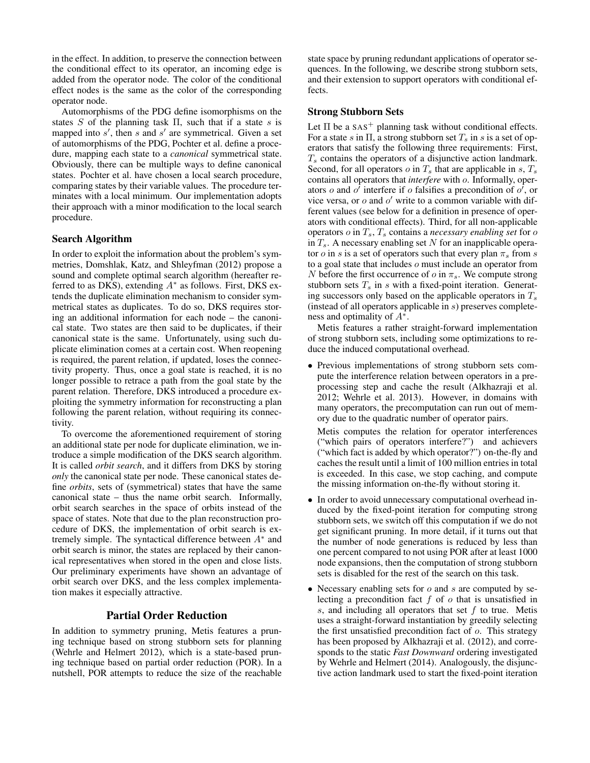in the effect. In addition, to preserve the connection between the conditional effect to its operator, an incoming edge is added from the operator node. The color of the conditional effect nodes is the same as the color of the corresponding operator node.

Automorphisms of the PDG define isomorphisms on the states S of the planning task  $\Pi$ , such that if a state s is mapped into  $s'$ , then  $s$  and  $s'$  are symmetrical. Given a set of automorphisms of the PDG, Pochter et al. define a procedure, mapping each state to a *canonical* symmetrical state. Obviously, there can be multiple ways to define canonical states. Pochter et al. have chosen a local search procedure, comparing states by their variable values. The procedure terminates with a local minimum. Our implementation adopts their approach with a minor modification to the local search procedure.

#### Search Algorithm

In order to exploit the information about the problem's symmetries, Domshlak, Katz, and Shleyfman (2012) propose a sound and complete optimal search algorithm (hereafter referred to as DKS), extending  $A^*$  as follows. First, DKS extends the duplicate elimination mechanism to consider symmetrical states as duplicates. To do so, DKS requires storing an additional information for each node – the canonical state. Two states are then said to be duplicates, if their canonical state is the same. Unfortunately, using such duplicate elimination comes at a certain cost. When reopening is required, the parent relation, if updated, loses the connectivity property. Thus, once a goal state is reached, it is no longer possible to retrace a path from the goal state by the parent relation. Therefore, DKS introduced a procedure exploiting the symmetry information for reconstructing a plan following the parent relation, without requiring its connectivity.

To overcome the aforementioned requirement of storing an additional state per node for duplicate elimination, we introduce a simple modification of the DKS search algorithm. It is called *orbit search*, and it differs from DKS by storing *only* the canonical state per node. These canonical states define *orbits*, sets of (symmetrical) states that have the same canonical state – thus the name orbit search. Informally, orbit search searches in the space of orbits instead of the space of states. Note that due to the plan reconstruction procedure of DKS, the implementation of orbit search is extremely simple. The syntactical difference between  $A^*$  and orbit search is minor, the states are replaced by their canonical representatives when stored in the open and close lists. Our preliminary experiments have shown an advantage of orbit search over DKS, and the less complex implementation makes it especially attractive.

#### Partial Order Reduction

In addition to symmetry pruning, Metis features a pruning technique based on strong stubborn sets for planning (Wehrle and Helmert 2012), which is a state-based pruning technique based on partial order reduction (POR). In a nutshell, POR attempts to reduce the size of the reachable state space by pruning redundant applications of operator sequences. In the following, we describe strong stubborn sets, and their extension to support operators with conditional effects.

#### Strong Stubborn Sets

Let  $\Pi$  be a SAS<sup>+</sup> planning task without conditional effects. For a state s in  $\Pi$ , a strong stubborn set  $T_s$  in s is a set of operators that satisfy the following three requirements: First,  $T_s$  contains the operators of a disjunctive action landmark. Second, for all operators  $o$  in  $T_s$  that are applicable in s,  $T_s$ contains all operators that *interfere* with o. Informally, operators o and  $o^{\dagger}$  interfere if o falsifies a precondition of  $o^{\dagger}$ , or vice versa, or  $o$  and  $o'$  write to a common variable with different values (see below for a definition in presence of operators with conditional effects). Third, for all non-applicable operators  $o$  in  $T_s$ ,  $T_s$  contains a *necessary enabling set* for  $o$ in  $T_s$ . A necessary enabling set N for an inapplicable operator *o* in *s* is a set of operators such that every plan  $\pi_s$  from *s* to a goal state that includes o must include an operator from N before the first occurrence of  $o$  in  $\pi_s$ . We compute strong stubborn sets  $T_s$  in  $s$  with a fixed-point iteration. Generating successors only based on the applicable operators in  $T_s$ (instead of all operators applicable in s) preserves completeness and optimality of  $A^*$ .

Metis features a rather straight-forward implementation of strong stubborn sets, including some optimizations to reduce the induced computational overhead.

• Previous implementations of strong stubborn sets compute the interference relation between operators in a preprocessing step and cache the result (Alkhazraji et al. 2012; Wehrle et al. 2013). However, in domains with many operators, the precomputation can run out of memory due to the quadratic number of operator pairs.

Metis computes the relation for operator interferences ("which pairs of operators interfere?") and achievers ("which fact is added by which operator?") on-the-fly and caches the result until a limit of 100 million entries in total is exceeded. In this case, we stop caching, and compute the missing information on-the-fly without storing it.

- In order to avoid unnecessary computational overhead induced by the fixed-point iteration for computing strong stubborn sets, we switch off this computation if we do not get significant pruning. In more detail, if it turns out that the number of node generations is reduced by less than one percent compared to not using POR after at least 1000 node expansions, then the computation of strong stubborn sets is disabled for the rest of the search on this task.
- Necessary enabling sets for  $o$  and  $s$  are computed by selecting a precondition fact  $f$  of  $o$  that is unsatisfied in s, and including all operators that set  $f$  to true. Metis uses a straight-forward instantiation by greedily selecting the first unsatisfied precondition fact of  $o$ . This strategy has been proposed by Alkhazraji et al. (2012), and corresponds to the static *Fast Downward* ordering investigated by Wehrle and Helmert (2014). Analogously, the disjunctive action landmark used to start the fixed-point iteration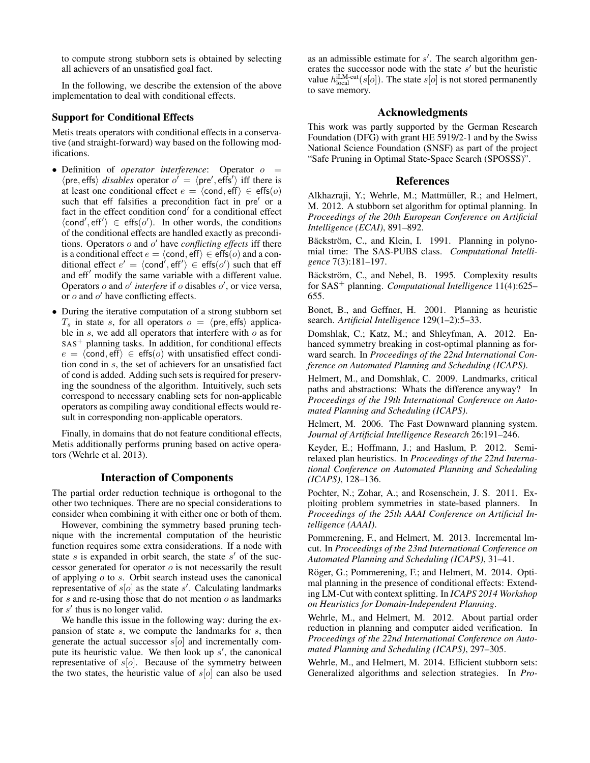to compute strong stubborn sets is obtained by selecting all achievers of an unsatisfied goal fact.

In the following, we describe the extension of the above implementation to deal with conditional effects.

### Support for Conditional Effects

Metis treats operators with conditional effects in a conservative (and straight-forward) way based on the following modifications.

- Definition of *operator interference*: Operator  $o =$  $\langle$ pre, effs $\rangle$  *disables* operator  $o' = \langle$ pre', effs' $\rangle$  iff there is at least one conditional effect  $e = \langle \text{cond}, \text{eff} \rangle \in \text{effs}(o)$ such that eff falsifies a precondition fact in pre' or a fact in the effect condition cond' for a conditional effect  $\langle \text{cond}', \text{eff}' \rangle \in \text{effs}(o').$  In other words, the conditions of the conditional effects are handled exactly as preconditions. Operators o and o' have *conflicting effects* iff there is a conditional effect  $e = \langle \text{cond}, \text{eff} \rangle \in \text{effs}(o)$  and a conditional effect  $e' = \langle \text{cond}' \rangle$ , eff' $\rangle \in \text{`effs}(o')$  such that eff and eff<sup>'</sup> modify the same variable with a different value. Operators  $o$  and  $o'$  interfere if  $o$  disables  $o'$ , or vice versa, or  $o$  and  $o'$  have conflicting effects.
- During the iterative computation of a strong stubborn set  $T<sub>s</sub>$  in state s, for all operators  $o = \langle$ pre, effs $\rangle$  applicable in s, we add all operators that interfere with  $\sigma$  as for  $SAS<sup>+</sup>$  planning tasks. In addition, for conditional effects  $e = \langle \text{cond}, \text{eff} \rangle \in \text{effs}(o)$  with unsatisfied effect condition cond in s, the set of achievers for an unsatisfied fact of cond is added. Adding such sets is required for preserving the soundness of the algorithm. Intuitively, such sets correspond to necessary enabling sets for non-applicable operators as compiling away conditional effects would result in corresponding non-applicable operators.

Finally, in domains that do not feature conditional effects, Metis additionally performs pruning based on active operators (Wehrle et al. 2013).

#### Interaction of Components

The partial order reduction technique is orthogonal to the other two techniques. There are no special considerations to consider when combining it with either one or both of them.

However, combining the symmetry based pruning technique with the incremental computation of the heuristic function requires some extra considerations. If a node with state  $s$  is expanded in orbit search, the state  $s'$  of the successor generated for operator  $o$  is not necessarily the result of applying  $\sigma$  to  $s$ . Orbit search instead uses the canonical representative of  $s[\textit{o}]$  as the state s'. Calculating landmarks for  $s$  and re-using those that do not mention  $o$  as landmarks for  $s'$  thus is no longer valid.

We handle this issue in the following way: during the expansion of state  $s$ , we compute the landmarks for  $s$ , then generate the actual successor  $s[\textit{o}]$  and incrementally compute its heuristic value. We then look up  $s'$ , the canonical representative of  $s[o]$ . Because of the symmetry between the two states, the heuristic value of  $s[*o*]$  can also be used

as an admissible estimate for  $s'$ . The search algorithm generates the successor node with the state  $s'$  but the heuristic value  $h_{\text{local}}^{\text{iLM-cut}}(s[o])$ . The state  $s[o]$  is not stored permanently to save memory.

#### Acknowledgments

This work was partly supported by the German Research Foundation (DFG) with grant HE 5919/2-1 and by the Swiss National Science Foundation (SNSF) as part of the project "Safe Pruning in Optimal State-Space Search (SPOSSS)".

#### References

Alkhazraji, Y.; Wehrle, M.; Mattmüller, R.; and Helmert, M. 2012. A stubborn set algorithm for optimal planning. In *Proceedings of the 20th European Conference on Artificial Intelligence (ECAI)*, 891–892.

Bäckström, C., and Klein, I. 1991. Planning in polynomial time: The SAS-PUBS class. *Computational Intelligence* 7(3):181–197.

Bäckström, C., and Nebel, B. 1995. Complexity results for SAS<sup>+</sup> planning. *Computational Intelligence* 11(4):625– 655.

Bonet, B., and Geffner, H. 2001. Planning as heuristic search. *Artificial Intelligence* 129(1–2):5–33.

Domshlak, C.; Katz, M.; and Shleyfman, A. 2012. Enhanced symmetry breaking in cost-optimal planning as forward search. In *Proceedings of the 22nd International Conference on Automated Planning and Scheduling (ICAPS)*.

Helmert, M., and Domshlak, C. 2009. Landmarks, critical paths and abstractions: Whats the difference anyway? In *Proceedings of the 19th International Conference on Automated Planning and Scheduling (ICAPS)*.

Helmert, M. 2006. The Fast Downward planning system. *Journal of Artificial Intelligence Research* 26:191–246.

Keyder, E.; Hoffmann, J.; and Haslum, P. 2012. Semirelaxed plan heuristics. In *Proceedings of the 22nd International Conference on Automated Planning and Scheduling (ICAPS)*, 128–136.

Pochter, N.; Zohar, A.; and Rosenschein, J. S. 2011. Exploiting problem symmetries in state-based planners. In *Proceedings of the 25th AAAI Conference on Artificial Intelligence (AAAI)*.

Pommerening, F., and Helmert, M. 2013. Incremental lmcut. In *Proceedings of the 23nd International Conference on Automated Planning and Scheduling (ICAPS)*, 31–41.

Röger, G.; Pommerening, F.; and Helmert, M. 2014. Optimal planning in the presence of conditional effects: Extending LM-Cut with context splitting. In *ICAPS 2014 Workshop on Heuristics for Domain-Independent Planning*.

Wehrle, M., and Helmert, M. 2012. About partial order reduction in planning and computer aided verification. In *Proceedings of the 22nd International Conference on Automated Planning and Scheduling (ICAPS)*, 297–305.

Wehrle, M., and Helmert, M. 2014. Efficient stubborn sets: Generalized algorithms and selection strategies. In *Pro-*